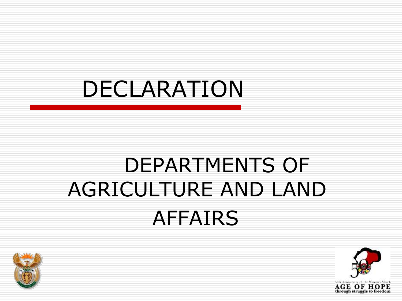## DECLARATION

## DEPARTMENTS OF AGRICULTURE AND LAND AFFAIRS



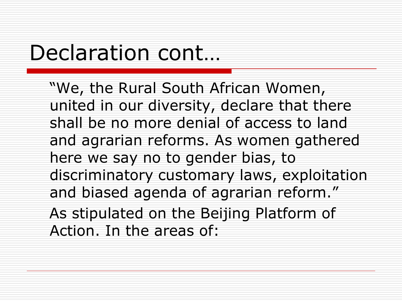### Declaration cont...

"We, the Rural South African Women, united in our diversity, declare that there shall be no more denial of access to land and agrarian reforms. As women gathered here we say no to gender bias, to discriminatory customary laws, exploitation and biased agenda of agrarian reform." As stipulated on the Beijing Platform of Action. In the areas of: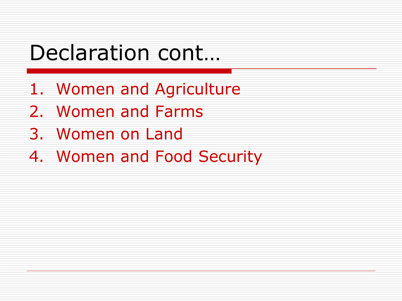### Declaration cont...

- 1. Women and Agriculture
- 2. Women and Farms
- 3. Women on Land
- 4. Women and Food Security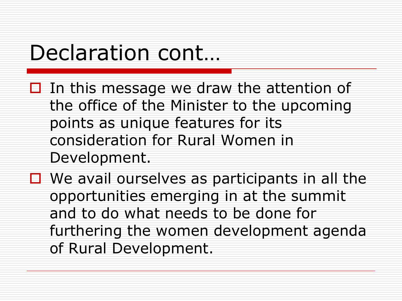### Declaration cont...

- $\Box$  In this message we draw the attention of the office of the Minister to the upcoming points as unique features for its consideration for Rural Women in Development.
- $\Box$  We avail ourselves as participants in all the opportunities emerging in at the summit and to do what needs to be done for furthering the women development agenda of Rural Development.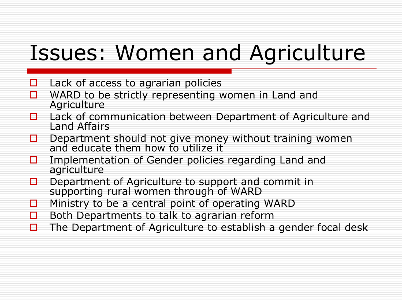## Issues: Women and Agriculture

- $\Box$  Lack of access to agrarian policies
- $\Box$  WARD to be strictly representing women in Land and **Agriculture**
- □ Lack of communication between Department of Agriculture and Land Affairs
- $\Box$  Department should not give money without training women and educate them how to utilize it
- Implementation of Gender policies regarding Land and agriculture
- $\Box$  Department of Agriculture to support and commit in supporting rural women through of WARD
- $\Box$  Ministry to be a central point of operating WARD
- $\Box$  Both Departments to talk to agrarian reform
- $\Box$  The Department of Agriculture to establish a gender focal desk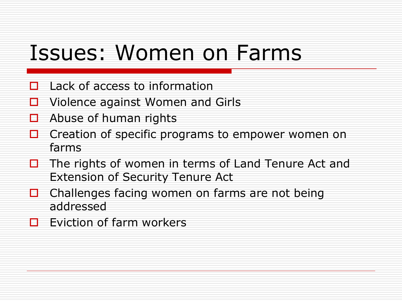### Issues: Women on Farms

- Lack of access to information
- $\Box$  Violence against Women and Girls
- $\Box$  Abuse of human rights
- Creation of specific programs to empower women on farms
- $\Box$  The rights of women in terms of Land Tenure Act and Extension of Security Tenure Act
- $\Box$  Challenges facing women on farms are not being addressed
- $\Box$  Eviction of farm workers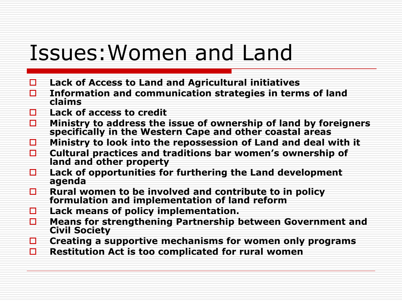#### Issues:Women and Land

- **Lack of Access to Land and Agricultural initiatives**
- **Information and communication strategies in terms of land claims**
- **Lack of access to credit**
- **Ministry to address the issue of ownership of land by foreigners specifically in the Western Cape and other coastal areas**
- **Ministry to look into the repossession of Land and deal with it**
- **Cultural practices and traditions bar women's ownership of land and other property**
- **Lack of opportunities for furthering the Land development agenda**
- **Rural women to be involved and contribute to in policy formulation and implementation of land reform**
- **Lack means of policy implementation.**
- **Means for strengthening Partnership between Government and Civil Society**
- **Creating a supportive mechanisms for women only programs**
- **Restitution Act is too complicated for rural women**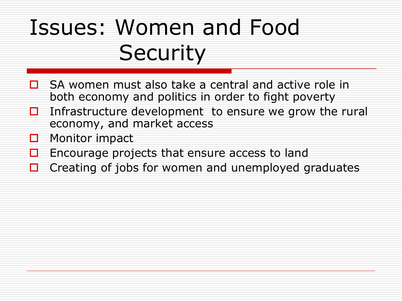# Issues: Women and Food **Security**

- SA women must also take a central and active role in both economy and politics in order to fight poverty
- $\Box$  Infrastructure development to ensure we grow the rural economy, and market access
- $\Box$  Monitor impact
- $\Box$  Encourage projects that ensure access to land
- $\Box$  Creating of jobs for women and unemployed graduates